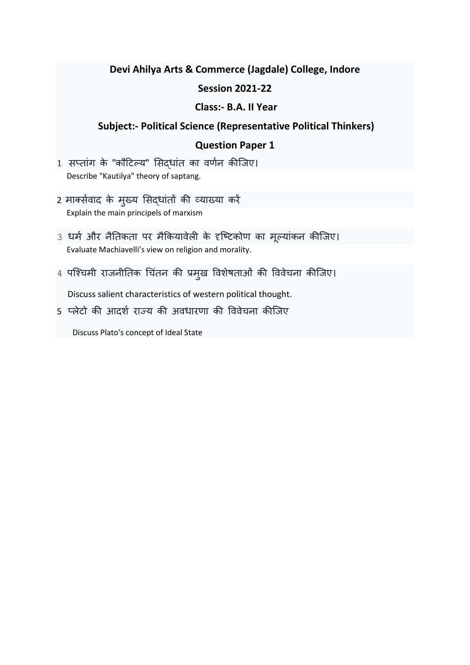## **Devi Ahilya Arts & Commerce (Jagdale) College, Indore**

## **Session 2021-22**

## **Class:- B.A. II Year**

## **Subject:- Political Science (Representative Political Thinkers)**

## **Question Paper 1**

- 1 सप्तांग के "कौटिल्य" सिद्धांत का वर्णन कीजिए। Describe "Kautilya" theory of saptang.
- 2 मार्क्सवाद के मुख्य सिद्धांतों की व्याख्या करें Explain the main principels of marxism
- 3 धर्म और नैतिकता पर मैकियावेली के दृष्टिकोण का मूल्यांकन कीजिए। Evaluate Machiavelli's view on religion and morality.
- 4 पश्चिमी राजनीतिक चिंतन की प्रमुख विशेषताओं की विवेचना कीजिए।

Discuss salient characteristics of western political thought.

5 प्लेटो की आदर्श राज्य की अवधारणा की विवेचना कीजिए

Discuss Plato's concept of Ideal State